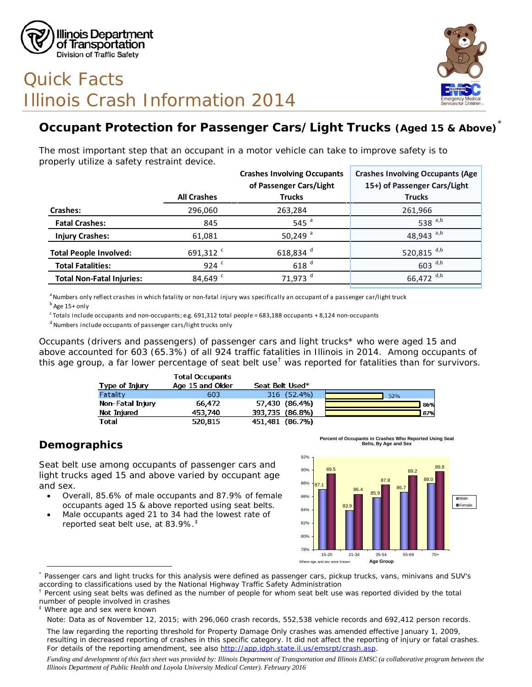

# Quick Facts Illinois Crash Information 2014



## **Occupant Protection for Passenger Cars/Light Trucks (Aged 15 & Above)**[\\*](#page-0-0)

The most important step that an occupant in a motor vehicle can take to improve safety is to properly utilize a safety restraint device.

|                                  |                      | <b>Crashes Involving Occupants</b> | <b>Crashes Involving Occupants (Age</b> |
|----------------------------------|----------------------|------------------------------------|-----------------------------------------|
|                                  |                      | of Passenger Cars/Light            | 15+) of Passenger Cars/Light            |
|                                  | <b>All Crashes</b>   | <b>Trucks</b>                      | <b>Trucks</b>                           |
| Crashes:                         | 296,060              | 263,284                            | 261,966                                 |
| <b>Fatal Crashes:</b>            | 845                  | 545 $a$                            | 538 $a,b$                               |
| <b>Injury Crashes:</b>           | 61,081               | 50,249 $^a$                        | 48,943 $a,b$                            |
| <b>Total People Involved:</b>    | 691,312 <sup>c</sup> | 618,834 $d$                        | 520,815 $^{d,b}$                        |
| <b>Total Fatalities:</b>         | 924 $c$              | 618 <sup>d</sup>                   | $603$ <sup>d,b</sup>                    |
| <b>Total Non-Fatal Injuries:</b> | 84,649 <sup>c</sup>  | 71,973 <sup>d</sup>                | 66,472 $^{d,b}$                         |

a Numbers only reflect crashes in which fatality or non-fatal injury was specifically an occupant of a passenger car/light truck

 $c$  Totals include occupants and non-occupants; e.g. 691,312 total people = 683,188 occupants + 8,124 non-occupants

d Numbers include occupants of passenger cars/light trucks only

Occupants (drivers and passengers) of passenger cars and light trucks\* who were aged 15 and above accounted for 603 (65.3%) of all 924 traffic fatalities in Illinois in 2014. Among occupants of this age group, a far lower percentage of seat belt use<sup>[†](#page-0-1)</sup> was reported for fatalities than for survivors.

|                  | <b>Total Occupants</b> |                 |     |
|------------------|------------------------|-----------------|-----|
| Type of Injury   | Age 15 and Older       | Seat Belt Used* |     |
| Fatality         | 603                    | 316 (52.4%)     | 52% |
| Non-Fatal Injury | 66,472                 | 57,430 (86.4%)  | 86% |
| Not Injured      | 453,740                | 393,735 (86.8%) | 87% |
| <b>Total</b>     | 520,815                | 451.481 (86.7%) |     |

#### **Demographics**

Seat belt use among occupants of passenger cars and light trucks aged 15 and above varied by occupant age and sex.

- Overall, 85.6% of male occupants and 87.9% of female occupants aged 15 & above reported using seat belts.
- Male occupants aged 21 to 34 had the lowest rate of reported seat belt use, at 83.9%.[‡](#page-0-2)



**Percent of Occupants in Crashes Who Reported Using Seat Belts, By Age and Sex**

<span id="page-0-2"></span>Where age and sex were known

b Age 15+ only

<span id="page-0-0"></span> $\overline{a}$ \* Passenger cars and light trucks for this analysis were defined as passenger cars, pickup trucks, vans, minivans and SUV's according to classifications used by the National Highway Traffic Safety Administration

<span id="page-0-1"></span><sup>&</sup>lt;sup>†</sup> Percent using seat belts was defined as the number of people for whom seat belt use was reported divided by the total number of people involved in crashes

*Note: Data as of November 12, 2015; with 296,060 crash records, 552,538 vehicle records and 692,412 person records.*

*The law regarding the reporting threshold for Property Damage Only crashes was amended effective January 1, 2009, resulting in decreased reporting of crashes in this specific category. It did not affect the reporting of injury or fatal crashes. For details of the reporting amendment, see also [http://app.idph.state.il.us/emsrpt/crash.asp.](http://app.idph.state.il.us/emsrpt/crash.asp)*

*Funding and development of this fact sheet was provided by: Illinois Department of Transportation and Illinois EMSC (a collaborative program between the Illinois Department of Public Health and Loyola University Medical Center). February 2016*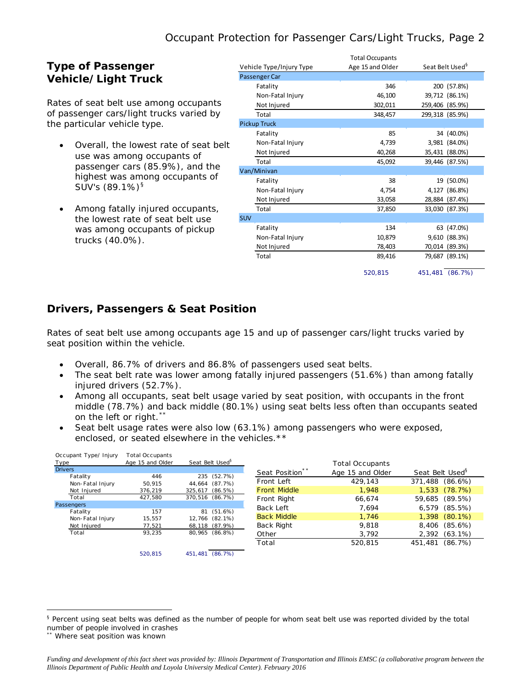#### **Type of Passenger Vehicle/Light Truck**

Rates of seat belt use among occupants of passenger cars/light trucks varied by the particular vehicle type.

- Overall, the lowest rate of seat belt use was among occupants of passenger cars (85.9%), and the highest was among occupants of SUV's  $(89.1\%)^{\$}$
- Among fatally injured occupants, the lowest rate of seat belt use was among occupants of pickup trucks (40.0%).

|                          | <b>Total Occupants</b> |                             |  |
|--------------------------|------------------------|-----------------------------|--|
| Vehicle Type/Injury Type | Age 15 and Older       | Seat Belt Used <sup>9</sup> |  |
| Passenger Car            |                        |                             |  |
| Fatality                 | 346                    | 200 (57.8%)                 |  |
| Non-Fatal Injury         | 46,100                 | 39,712 (86.1%)              |  |
| Not Injured              | 302,011                | 259,406 (85.9%)             |  |
| Total                    | 348,457                | 299,318 (85.9%)             |  |
| Pickup Truck             |                        |                             |  |
| Fatality                 | 85                     | 34 (40.0%)                  |  |
| Non-Fatal Injury         | 4,739                  | 3,981 (84.0%)               |  |
| Not Injured              | 40,268                 | 35,431 (88.0%)              |  |
| Total                    | 45,092                 | 39,446 (87.5%)              |  |
| Van/Minivan              |                        |                             |  |
| Fatality                 | 38                     | 19 (50.0%)                  |  |
| Non-Fatal Injury         | 4,754                  | 4,127 (86.8%)               |  |
| Not Injured              | 33,058                 | 28,884 (87.4%)              |  |
| Total                    | 37,850                 | 33,030 (87.3%)              |  |
| SUV                      |                        |                             |  |
| Fatality                 | 134                    | 63 (47.0%)                  |  |
| Non-Fatal Injury         | 10,879                 | (88.3%)<br>9,610            |  |
| Not Injured              | 78,403                 | 70,014 (89.3%)              |  |
| Total                    | 89,416                 | 79,687 (89.1%)              |  |
|                          | 520.815                | 451,481<br>(86.7%)          |  |

#### **Drivers, Passengers & Seat Position**

Rates of seat belt use among occupants age 15 and up of passenger cars/light trucks varied by seat position within the vehicle.

- Overall, 86.7% of drivers and 86.8% of passengers used seat belts.
- The seat belt rate was lower among fatally injured passengers (51.6%) than among fatally injured drivers (52.7%).
- Among all occupants, seat belt usage varied by seat position, with occupants in the front middle (78.7%) and back middle (80.1%) using seat belts less often than occupants seated on the left or right.\*
- Seat belt usage rates were also low (63.1%) among passengers who were exposed, enclosed, or seated elsewhere in the vehicles.\*\*

| Occupant Type/Injury | Total Occupants  |                             |                            |                  |                             |
|----------------------|------------------|-----------------------------|----------------------------|------------------|-----------------------------|
| Type                 | Age 15 and Older | Seat Belt Used <sup>§</sup> |                            | Total Occupants  |                             |
| <b>Drivers</b>       |                  |                             | Seat Position <sup>*</sup> | Age 15 and Older | Seat Belt Used <sup>§</sup> |
| Fatality             | 446              | 235 (52.7%)                 |                            |                  |                             |
| Non-Fatal Injury     | 50.915           | 44.664 (87.7%)              | Front Left                 | 429.143          | $(86.6\%)$<br>371,488       |
| Not Injured          | 376.219          | 325,617 (86.5%)             | <b>Front Middle</b>        | 1.948            | 1,533 (78.7%)               |
| Total                | 427.580          | 370,516 (86.7%)             | Front Right                | 66,674           | (89.5%)<br>59,685           |
| Passengers           |                  |                             | Back Left                  | 7.694            | 6.579<br>$(85.5\%)$         |
| Fatality             | 157              | 81 (51.6%)                  |                            |                  |                             |
| Non-Fatal Injury     | 15.557           | 12.766 (82.1%)              | <b>Back Middle</b>         | 1.746            | 1.398<br>$(80.1\%)$         |
| Not Injured          | 77,521           | 68,118 (87.9%)              | Back Right                 | 9.818            | (85.6%)<br>8,406            |
| Total                | 93.235           | 80,965 (86.8%)              | Other                      | 3.792            | $(63.1\%)$<br>2,392         |
|                      |                  |                             | Total                      | 520,815          | (86.7%)<br>451,481          |
|                      | 520.815          | 451.481 (86.7%)             |                            |                  |                             |

 $\overline{a}$ 

<span id="page-1-0"></span><sup>§</sup> Percent using seat belts was defined as the number of people for whom seat belt use was reported divided by the total number of people involved in crashes

<span id="page-1-1"></span>Where seat position was known

*Funding and development of this fact sheet was provided by: Illinois Department of Transportation and Illinois EMSC (a collaborative program between the Illinois Department of Public Health and Loyola University Medical Center). February 2016*